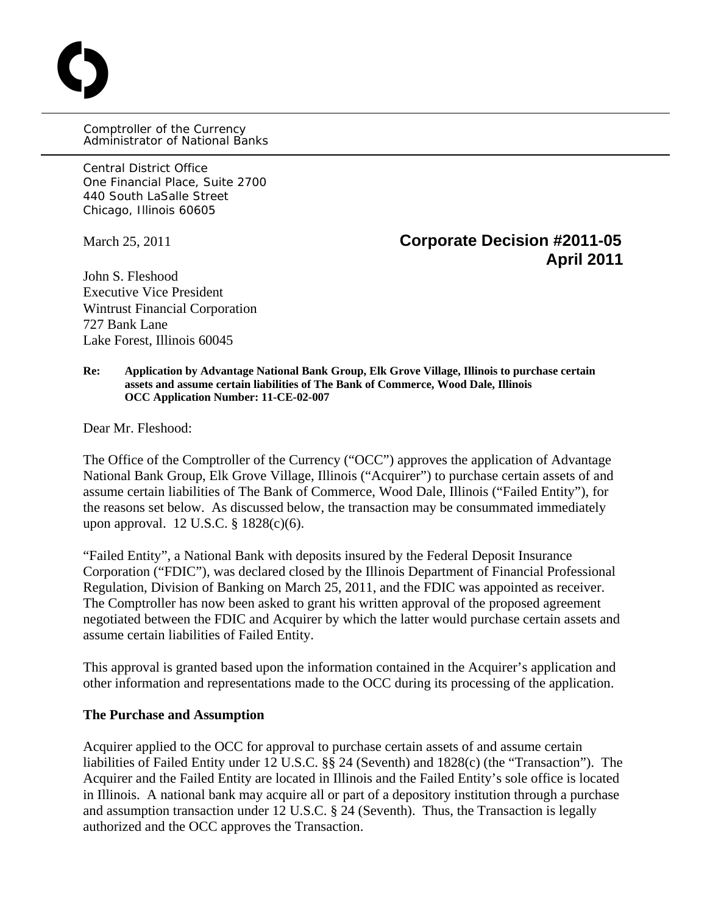Comptroller of the Currency Administrator of National Banks

Central District Office One Financial Place, Suite 2700 440 South LaSalle Street Chicago, Illinois 60605

O

# March 25, 2011 **Corporate Decision #2011-05 April 2011**

John S. Fleshood Executive Vice President Wintrust Financial Corporation 727 Bank Lane Lake Forest, Illinois 60045

**Re: Application by Advantage National Bank Group, Elk Grove Village, Illinois to purchase certain assets and assume certain liabilities of The Bank of Commerce, Wood Dale, Illinois OCC Application Number: 11-CE-02-007** 

Dear Mr. Fleshood:

The Office of the Comptroller of the Currency ("OCC") approves the application of Advantage National Bank Group, Elk Grove Village, Illinois ("Acquirer") to purchase certain assets of and assume certain liabilities of The Bank of Commerce, Wood Dale, Illinois ("Failed Entity"), for the reasons set below. As discussed below, the transaction may be consummated immediately upon approval. 12 U.S.C. § 1828(c)(6).

"Failed Entity", a National Bank with deposits insured by the Federal Deposit Insurance Corporation ("FDIC"), was declared closed by the Illinois Department of Financial Professional Regulation, Division of Banking on March 25, 2011, and the FDIC was appointed as receiver. The Comptroller has now been asked to grant his written approval of the proposed agreement negotiated between the FDIC and Acquirer by which the latter would purchase certain assets and assume certain liabilities of Failed Entity.

This approval is granted based upon the information contained in the Acquirer's application and other information and representations made to the OCC during its processing of the application.

#### **The Purchase and Assumption**

Acquirer applied to the OCC for approval to purchase certain assets of and assume certain liabilities of Failed Entity under 12 U.S.C. §§ 24 (Seventh) and 1828(c) (the "Transaction"). The Acquirer and the Failed Entity are located in Illinois and the Failed Entity's sole office is located in Illinois. A national bank may acquire all or part of a depository institution through a purchase and assumption transaction under 12 U.S.C. § 24 (Seventh). Thus, the Transaction is legally authorized and the OCC approves the Transaction.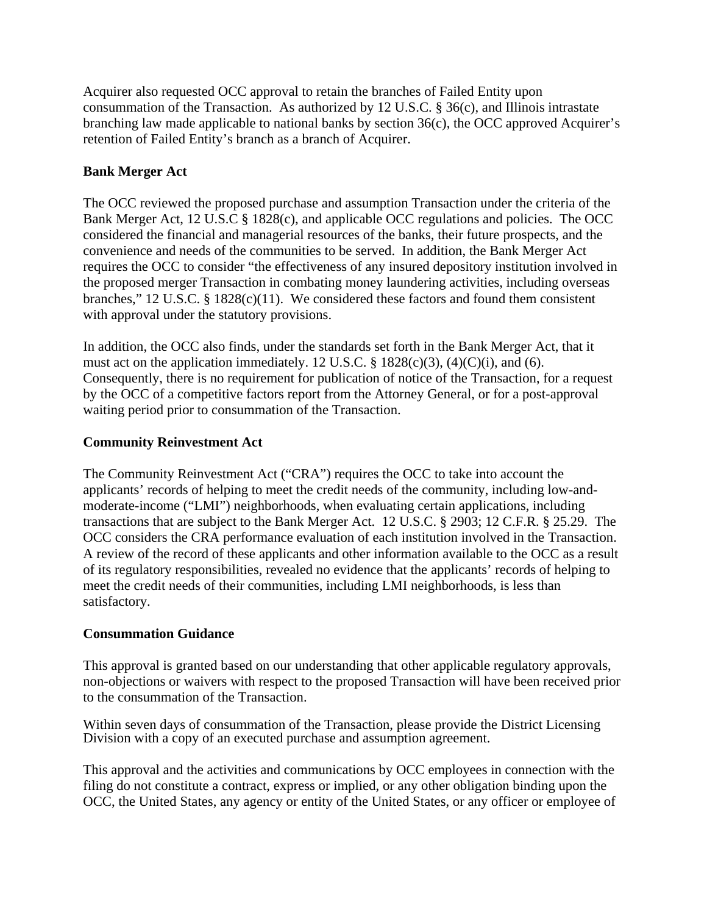Acquirer also requested OCC approval to retain the branches of Failed Entity upon consummation of the Transaction. As authorized by 12 U.S.C. § 36(c), and Illinois intrastate branching law made applicable to national banks by section 36(c), the OCC approved Acquirer's retention of Failed Entity's branch as a branch of Acquirer.

# **Bank Merger Act**

The OCC reviewed the proposed purchase and assumption Transaction under the criteria of the Bank Merger Act, 12 U.S.C § 1828(c), and applicable OCC regulations and policies. The OCC considered the financial and managerial resources of the banks, their future prospects, and the convenience and needs of the communities to be served. In addition, the Bank Merger Act requires the OCC to consider "the effectiveness of any insured depository institution involved in the proposed merger Transaction in combating money laundering activities, including overseas branches," 12 U.S.C. § 1828(c)(11). We considered these factors and found them consistent with approval under the statutory provisions.

In addition, the OCC also finds, under the standards set forth in the Bank Merger Act, that it must act on the application immediately. 12 U.S.C. § 1828(c)(3), (4)(C)(i), and (6). Consequently, there is no requirement for publication of notice of the Transaction, for a request by the OCC of a competitive factors report from the Attorney General, or for a post-approval waiting period prior to consummation of the Transaction.

## **Community Reinvestment Act**

The Community Reinvestment Act ("CRA") requires the OCC to take into account the applicants' records of helping to meet the credit needs of the community, including low-andmoderate-income ("LMI") neighborhoods, when evaluating certain applications, including transactions that are subject to the Bank Merger Act. 12 U.S.C. § 2903; 12 C.F.R. § 25.29. The OCC considers the CRA performance evaluation of each institution involved in the Transaction. A review of the record of these applicants and other information available to the OCC as a result of its regulatory responsibilities, revealed no evidence that the applicants' records of helping to meet the credit needs of their communities, including LMI neighborhoods, is less than satisfactory.

## **Consummation Guidance**

This approval is granted based on our understanding that other applicable regulatory approvals, non-objections or waivers with respect to the proposed Transaction will have been received prior to the consummation of the Transaction.

Within seven days of consummation of the Transaction, please provide the District Licensing Division with a copy of an executed purchase and assumption agreement.

This approval and the activities and communications by OCC employees in connection with the filing do not constitute a contract, express or implied, or any other obligation binding upon the OCC, the United States, any agency or entity of the United States, or any officer or employee of